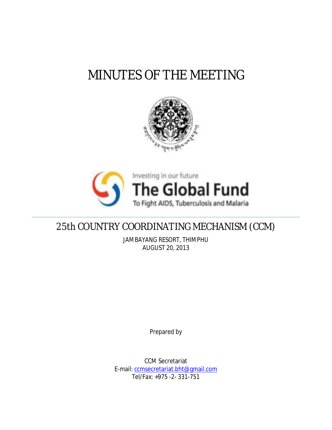# MINUTES OF THE MEETING





## 25th COUNTRY COORDINATING MECHANISM (CCM)

JAMBAYANG RESORT, THIMPHU AUGUST 20, 2013

Prepared by

CCM Secretariat E-mail: ccmsecretariat.bht@gmail.com Tel/Fax: +975 -2- 331-751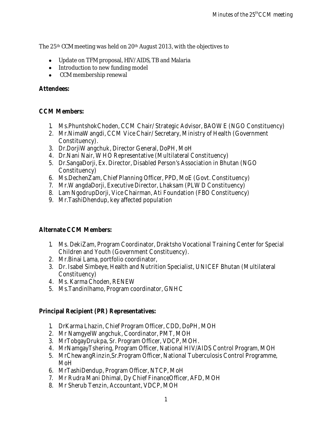The 25th CCM meeting was held on 20th August 2013, with the objectives to

- Update on TFM proposal, HIV/AIDS, TB and Malaria
- Introduction to new funding model
- CCM membership renewal

**Attendees:** 

#### **CCM Members:**

- 1. Ms.PhuntshokChoden, CCM Chair/ Strategic Advisor, BAOWE (NGO Constituency)
- 2. Mr.NimaWangdi, CCM Vice Chair/ Secretary, Ministry of Health (Government Constituency).
- 3. Dr.DorjiWangchuk, Director General, DoPH, MoH
- 4. Dr.Nani Nair, WHO Representative (Multilateral Constituency)
- 5. Dr.SangaDorji, Ex. Director, Disabled Person's Association in Bhutan (NGO Constituency)
- 6. Ms.DechenZam, Chief Planning Officer, PPD, MoE (Govt. Constituency)
- 7. Mr.WangdaDorji, Executive Director, Lhaksam (PLWD Constituency)
- 8. Lam NgodrupDorji, Vice Chairman, Ati Foundation (FBO Constituency)
- 9. Mr.TashiDhendup, key affected population

#### **Alternate CCM Members:**

- 1. Ms. DekiZam, Program Coordinator, Draktsho Vocational Training Center for Special Children and Youth (Government Constituency).
- 2. Mr.Binai Lama, portfolio coordinator,
- 3. Dr. Isabel Simbeye, Health and Nutrition Specialist, UNICEF Bhutan (Multilateral Constituency)
- 4. Ms. Karma Choden, RENEW
- 5. Ms.Tandinlhamo, Program coordinator, GNHC

**Principal Recipient (PR) Representatives:** 

- 1. DrKarma Lhazin, Chief Program Officer, CDD, DoPH, MOH
- 2. Mr NamgyelWangchuk, Coordinator, PMT, MOH
- 3. MrTobgayDrukpa, Sr. Program Officer, VDCP, MOH.
- 4. MrNamgayTshering, Program Officer, National HIV/AIDS Control Program, MOH
- 5. MrChewangRinzin,Sr.Program Officer, National Tuberculosis Control Programme, MoH
- 6. MrTashiDendup, Program Officer, NTCP, MoH
- 7. Mr Rudra Mani Dhimal, Dy Chief FinanceOfficer, AFD, MOH
- 8. Mr Sherub Tenzin, Accountant, VDCP, MOH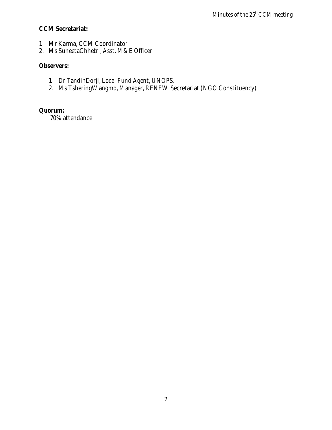**CCM Secretariat:** 

- 1. Mr Karma, CCM Coordinator
- 2. Ms SuneetaChhetri, Asst. M&E Officer

**Observers:**

- 1. Dr TandinDorji, Local Fund Agent, UNOPS.
- 2. Ms TsheringWangmo, Manager, RENEW Secretariat (NGO Constituency)

**Quorum:** 

70% attendance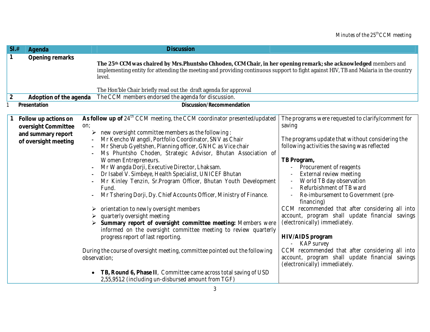| SI.#             | Agenda                                                                                    | <b>Discussion</b>                                                                                                                                                                                                                                                                                                                                                                                                                                                                                                                                                                                                                                                                                                                                                                                                                                                                                                                                                                                                                                                                                                                           |                                                                                                                                                                                                                                                                                                                                                                                                                                                                                                                                                                                                                                                                                  |
|------------------|-------------------------------------------------------------------------------------------|---------------------------------------------------------------------------------------------------------------------------------------------------------------------------------------------------------------------------------------------------------------------------------------------------------------------------------------------------------------------------------------------------------------------------------------------------------------------------------------------------------------------------------------------------------------------------------------------------------------------------------------------------------------------------------------------------------------------------------------------------------------------------------------------------------------------------------------------------------------------------------------------------------------------------------------------------------------------------------------------------------------------------------------------------------------------------------------------------------------------------------------------|----------------------------------------------------------------------------------------------------------------------------------------------------------------------------------------------------------------------------------------------------------------------------------------------------------------------------------------------------------------------------------------------------------------------------------------------------------------------------------------------------------------------------------------------------------------------------------------------------------------------------------------------------------------------------------|
| $\mathbf{1}$     | Opening remarks                                                                           | The 25 <sup>th</sup> CCM was chaired by Mrs. Phuntsho Chhoden, CCM Chair, in her opening remark; she acknowledged members and<br>implementing entity for attending the meeting and providing continuous support to fight against HIV, TB and Malaria in the country<br>level.                                                                                                                                                                                                                                                                                                                                                                                                                                                                                                                                                                                                                                                                                                                                                                                                                                                               |                                                                                                                                                                                                                                                                                                                                                                                                                                                                                                                                                                                                                                                                                  |
| $\boldsymbol{2}$ | Adoption of the agenda                                                                    | The Hon'ble Chair briefly read out the draft agenda for approval<br>The CCM members endorsed the agenda for discussion.                                                                                                                                                                                                                                                                                                                                                                                                                                                                                                                                                                                                                                                                                                                                                                                                                                                                                                                                                                                                                     |                                                                                                                                                                                                                                                                                                                                                                                                                                                                                                                                                                                                                                                                                  |
|                  | Presentation                                                                              | Discussion/Recommendation                                                                                                                                                                                                                                                                                                                                                                                                                                                                                                                                                                                                                                                                                                                                                                                                                                                                                                                                                                                                                                                                                                                   |                                                                                                                                                                                                                                                                                                                                                                                                                                                                                                                                                                                                                                                                                  |
|                  | Follow up actions on<br>oversight Committee<br>and summary report<br>of oversight meeting | As follow up of 24 <sup>th</sup> CCM meeting, the CCM coordinator presented/updated<br>on;<br>new oversight committee members as the following:<br>Mr Kencho Wangdi, Portfolio Coordinator, SNV as Chair<br>Mr Sherub Gyeltshen, Planning officer, GNHC as Vice chair<br>Ms Phuntsho Choden, Strategic Advisor, Bhutan Association of<br><b>Women Entrepreneurs.</b><br>Mr Wangda Dorji, Executive Director, Lhaksam.<br>$\blacksquare$<br>Dr Isabel V. Simbeye, Health Specialist, UNICEF Bhutan<br>Mr Kinley Tenzin, Sr.Program Officer, Bhutan Youth Development<br>Fund.<br>Mr Tshering Dorji, Dy. Chief Accounts Officer, Ministry of Finance.<br>orientation to newly oversight members<br>quarterly oversight meeting<br>Summary report of oversight committee meeting: Members were<br>informed on the oversight committee meeting to review quarterly<br>progress report of last reporting.<br>During the course of oversight meeting, committee pointed out the following<br>observation;<br>TB, Round 6, Phase II, Committee came across total saving of USD<br>$\bullet$<br>2,55,951.2 (including un-disbursed amount from TGF) | The programs were requested to clarify/comment for<br>saving<br>The programs update that without considering the<br>following activities the saving was reflected<br>TB Program,<br>Procurement of reagents<br><b>External review meeting</b><br>World TB day observation<br>Refurbishment of TB ward<br>Re-imbursement to Government (pre-<br>financing)<br>CCM recommended that after considering all into<br>account, program shall update financial savings<br>(electronically) immediately.<br>HIV/AIDS program<br><b>KAP</b> survey<br>CCM recommended that after considering all into<br>account, program shall update financial savings<br>(electronically) immediately. |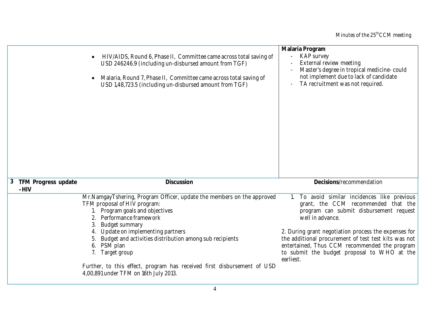|                 |                               | HIV/AIDS, Round 6, Phase II, Committee came across total saving of<br>USD 246246.9 (including un-disbursed amount from TGF)<br>Malaria, Round 7, Phase II, Committee came across total saving of<br>$\bullet$<br>USD 1,48,723.5 (including un-disbursed amount from TGF)                                                                                                                                                                           | Malaria Program<br><b>KAP</b> survey<br><b>External review meeting</b><br>Master's degree in tropical medicine-could<br>not implement due to lack of candidate<br>TA recruitment was not required.                                                                                                                                                                              |
|-----------------|-------------------------------|----------------------------------------------------------------------------------------------------------------------------------------------------------------------------------------------------------------------------------------------------------------------------------------------------------------------------------------------------------------------------------------------------------------------------------------------------|---------------------------------------------------------------------------------------------------------------------------------------------------------------------------------------------------------------------------------------------------------------------------------------------------------------------------------------------------------------------------------|
| $3\phantom{.0}$ | TFM Progress update<br>$-HIV$ | Discussion                                                                                                                                                                                                                                                                                                                                                                                                                                         | Decisions/recommendation                                                                                                                                                                                                                                                                                                                                                        |
|                 |                               | Mr.NamgayTshering, Program Officer, update the members on the approved<br>TFM proposal of HIV program:<br>1. Program goals and objectives<br>Performance framework<br><b>Budget summary</b><br>Update on implementing partners<br>Budget and activities distribution among sub recipients<br>PSM plan<br>6.<br>7. Target group<br>Further, to this effect, program has received first disbursement of USD<br>4,00,891 under TFM on 16th July 2013. | 1. To avoid similar incidences like previous<br>grant, the CCM recommended that the<br>program can submit disbursement request<br>well in advance.<br>2. During grant negotiation process the expenses for<br>the additional procurement of test test kits was not<br>entertained, Thus CCM recommended the program<br>to submit the budget proposal to WHO at the<br>earliest. |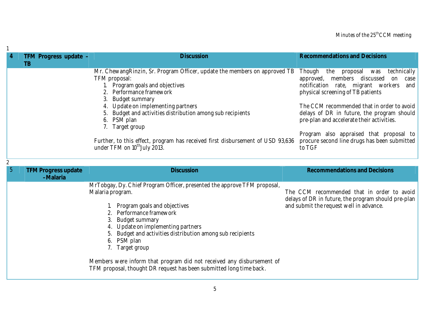| $\overline{4}$ | TFM Progress update -                  | <b>Discussion</b>                                                                                                                                                                                                                                                                                                                                                                                                                                                           | <b>Recommendations and Decisions</b>                                                                                                                                                                                                                                                                                                                                                                                                 |
|----------------|----------------------------------------|-----------------------------------------------------------------------------------------------------------------------------------------------------------------------------------------------------------------------------------------------------------------------------------------------------------------------------------------------------------------------------------------------------------------------------------------------------------------------------|--------------------------------------------------------------------------------------------------------------------------------------------------------------------------------------------------------------------------------------------------------------------------------------------------------------------------------------------------------------------------------------------------------------------------------------|
|                | TB                                     |                                                                                                                                                                                                                                                                                                                                                                                                                                                                             |                                                                                                                                                                                                                                                                                                                                                                                                                                      |
|                |                                        | Mr. Chewang Rinzin, Sr. Program Officer, update the members on approved TB<br>TFM proposal:<br>1. Program goals and objectives<br><b>Performance framework</b><br><b>Budget summary</b><br>3.<br>Update on implementing partners<br>Budget and activities distribution among sub recipients<br>PSM plan<br>6.<br>Target group<br>Further, to this effect, program has received first disbursement of USD 93,636<br>under TFM on 10 <sup>th</sup> July 2013.                 | Though<br>proposal<br>technically<br>the<br>was<br>members discussed<br>approved,<br>on<br>$\case$<br>notification rate, migrant workers<br>and  <br>physical screening of TB patients<br>The CCM recommended that in order to avoid<br>delays of DR in future, the program should<br>pre-plan and accelerate their activities.<br>Program also appraised that proposal to<br>procure second line drugs has been submitted<br>to TGF |
|                |                                        |                                                                                                                                                                                                                                                                                                                                                                                                                                                                             |                                                                                                                                                                                                                                                                                                                                                                                                                                      |
| $\overline{5}$ |                                        |                                                                                                                                                                                                                                                                                                                                                                                                                                                                             |                                                                                                                                                                                                                                                                                                                                                                                                                                      |
|                | <b>TFM Progress update</b><br>-Malaria | <b>Discussion</b>                                                                                                                                                                                                                                                                                                                                                                                                                                                           | <b>Recommendations and Decisions</b>                                                                                                                                                                                                                                                                                                                                                                                                 |
|                |                                        | MrTobgay, Dy. Chief Program Officer, presented the approve TFM proposal,<br>Malaria program.<br>Program goals and objectives<br>Performance framework<br>3.<br><b>Budget summary</b><br>Update on implementing partners<br>Budget and activities distribution among sub recipients<br>PSM plan<br>6.<br><b>Target group</b><br>Members were inform that program did not received any disbursement of<br>TFM proposal, thought DR request has been submitted long time back. | The CCM recommended that in order to avoid<br>delays of DR in future, the program should pre-plan<br>and submit the request well in advance.                                                                                                                                                                                                                                                                                         |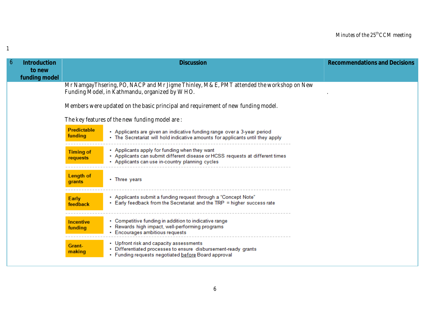| $\boldsymbol{6}$ | Introduction            |                              | <b>Discussion</b>                                                                                                                                                                 | <b>Recommendations and Decisions</b> |
|------------------|-------------------------|------------------------------|-----------------------------------------------------------------------------------------------------------------------------------------------------------------------------------|--------------------------------------|
|                  | to new<br>funding model |                              |                                                                                                                                                                                   |                                      |
|                  |                         |                              | Mr NamgayThsering, PO, NACP and Mr Jigme Thinley, M&E, PMT attended the workshop on New<br>Funding Model, in Kathmandu, organized by WHO.                                         |                                      |
|                  |                         |                              | Members were updated on the basic principal and requirement of new funding model.                                                                                                 |                                      |
|                  |                         |                              | The key features of the new funding model are:                                                                                                                                    |                                      |
|                  |                         | Predictable<br>funding       | • Applicants are given an indicative funding range over a 3-year period<br>• The Secretariat will hold indicative amounts for applicants until they apply                         |                                      |
|                  |                         | <b>Timing of</b><br>requests | • Applicants apply for funding when they want<br>• Applicants can submit different disease or HCSS requests at different times<br>• Applicants can use in-country planning cycles |                                      |
|                  |                         | Length of<br>grants          | • Three years                                                                                                                                                                     |                                      |
|                  |                         | Early<br>feedback            | • Applicants submit a funding request through a "Concept Note"<br>• Early feedback from the Secretariat and the TRP = higher success rate                                         |                                      |
|                  |                         | <b>Incentive</b><br>funding  | • Competitive funding in addition to indicative range<br>• Rewards high impact, well-performing programs<br>• Encourages ambitious requests                                       |                                      |
|                  |                         | Grant-<br>making             | • Upfront risk and capacity assessments<br>• Differentiated processes to ensure disbursement-ready grants<br>• Funding requests negotiated before Board approval                  |                                      |

1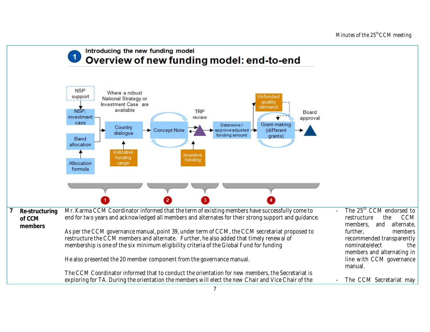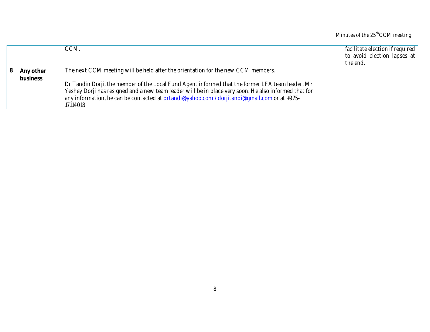### Minutes of the  $25^{\rm th}$ CCM meeting

|   |                       | CCM.                                                                                                                                                                                                                                                                                                                                                                                                      | facilitate election if required<br>to avoid election lapses at<br>the end. |
|---|-----------------------|-----------------------------------------------------------------------------------------------------------------------------------------------------------------------------------------------------------------------------------------------------------------------------------------------------------------------------------------------------------------------------------------------------------|----------------------------------------------------------------------------|
| 8 | Any other<br>business | The next CCM meeting will be held after the orientation for the new CCM members.<br>Dr Tandin Dorji, the member of the Local Fund Agent informed that the former LFA team leader, Mr<br>Yeshey Dorji has resigned and a new team leader will be in place very soon. He also informed that for<br>any information, he can be contacted at drtandi@yahoo.com / dorjitandi@gmail.com or at +975-<br>17114018 |                                                                            |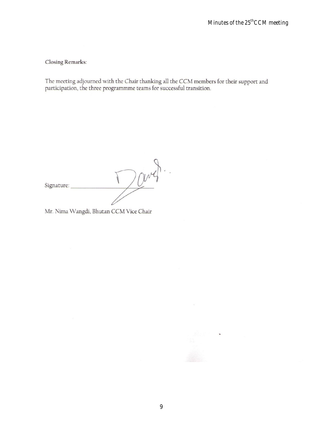**Closing Remarks:** 

The meeting adjourned with the Chair thanking all the CCM members for their support and participation, the three programmme teams for successful transition.

Davy Signature:

Mr. Nima Wangdi, Bhutan CCM Vice Chair